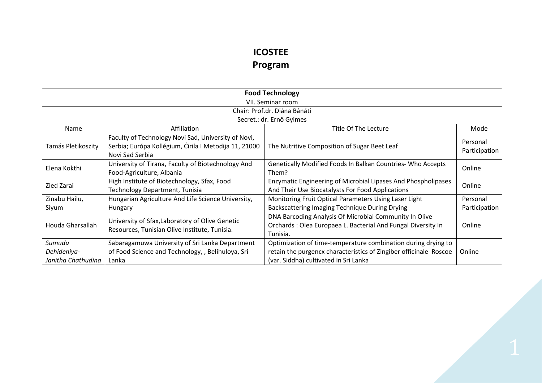## **ICOSTEE Program**

| <b>Food Technology</b>                      |                                                                                                                                 |                                                                                                                                                                             |                           |  |  |
|---------------------------------------------|---------------------------------------------------------------------------------------------------------------------------------|-----------------------------------------------------------------------------------------------------------------------------------------------------------------------------|---------------------------|--|--|
|                                             | VII. Seminar room                                                                                                               |                                                                                                                                                                             |                           |  |  |
|                                             | Chair: Prof.dr. Diána Bánáti                                                                                                    |                                                                                                                                                                             |                           |  |  |
|                                             |                                                                                                                                 | Secret.: dr. Ernő Gyimes                                                                                                                                                    |                           |  |  |
| Name                                        | Affiliation                                                                                                                     | Title Of The Lecture                                                                                                                                                        | Mode                      |  |  |
| Tamás Pletikoszity                          | Faculty of Technology Novi Sad, University of Novi,<br>Serbia; Európa Kollégium, Ćirila I Metodija 11, 21000<br>Novi Sad Serbia | The Nutritive Composition of Sugar Beet Leaf                                                                                                                                | Personal<br>Participation |  |  |
| Elena Kokthi                                | University of Tirana, Faculty of Biotechnology And<br>Food-Agriculture, Albania                                                 | Genetically Modified Foods In Balkan Countries- Who Accepts<br>Them?                                                                                                        | Online                    |  |  |
| Zied Zarai                                  | High Institute of Biotechnology, Sfax, Food<br>Technology Department, Tunisia                                                   | Enzymatic Engineering of Microbial Lipases And Phospholipases<br>And Their Use Biocatalysts For Food Applications                                                           | Online                    |  |  |
| Zinabu Hailu,                               | Hungarian Agriculture And Life Science University,                                                                              | Monitoring Fruit Optical Parameters Using Laser Light                                                                                                                       | Personal                  |  |  |
| Siyum                                       | <b>Hungary</b>                                                                                                                  | Backscattering Imaging Technique During Drying                                                                                                                              | Participation             |  |  |
| Houda Gharsallah                            | University of Sfax, Laboratory of Olive Genetic<br>Resources, Tunisian Olive Institute, Tunisia.                                | DNA Barcoding Analysis Of Microbial Community In Olive<br>Orchards: Olea Europaea L. Bacterial And Fungal Diversity In<br>Tunisia.                                          | Online                    |  |  |
| Sumudu<br>Dehideniya-<br>Janitha Chathudina | Sabaragamuwa University of Sri Lanka Department<br>of Food Science and Technology, , Belihuloya, Sri<br>Lanka                   | Optimization of time-temperature combination during drying to<br>retain the purgencx characteristics of Zingiber officinale Roscoe<br>(var. Siddha) cultivated in Sri Lanka | Online                    |  |  |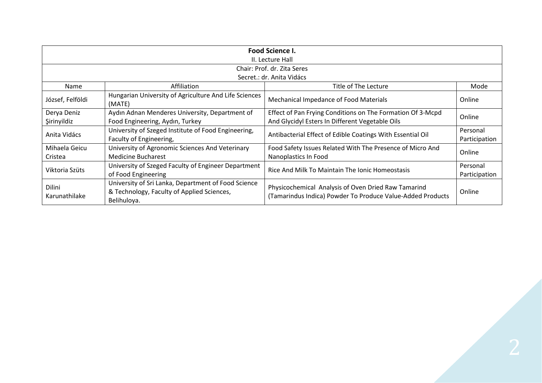| <b>Food Science I.</b>         |                                                                                                                  |                                                                                                                   |               |  |
|--------------------------------|------------------------------------------------------------------------------------------------------------------|-------------------------------------------------------------------------------------------------------------------|---------------|--|
|                                | II. Lecture Hall                                                                                                 |                                                                                                                   |               |  |
|                                |                                                                                                                  | Chair: Prof. dr. Zita Seres                                                                                       |               |  |
|                                |                                                                                                                  | Secret.: dr. Anita Vidács                                                                                         |               |  |
| Name                           | Affiliation                                                                                                      | Title of The Lecture                                                                                              | Mode          |  |
| József, Felföldi               | Hungarian University of Agriculture And Life Sciences<br>(MATE)                                                  | <b>Mechanical Impedance of Food Materials</b>                                                                     | Online        |  |
| Derya Deniz                    | Aydın Adnan Menderes University, Department of                                                                   | Effect of Pan Frying Conditions on The Formation Of 3-Mcpd                                                        |               |  |
| Şirinyildiz                    | Food Engineering, Aydın, Turkey                                                                                  | And Glycidyl Esters In Different Vegetable Oils                                                                   | Online        |  |
|                                | University of Szeged Institute of Food Engineering,                                                              | Antibacterial Effect of Edible Coatings With Essential Oil                                                        | Personal      |  |
| Anita Vidács                   | Faculty of Engineering,                                                                                          |                                                                                                                   | Participation |  |
| Mihaela Geicu                  | University of Agronomic Sciences And Veterinary                                                                  | Food Safety Issues Related With The Presence of Micro And                                                         |               |  |
| Cristea                        | Medicine Bucharest                                                                                               | Nanoplastics In Food                                                                                              | Online        |  |
|                                | University of Szeged Faculty of Engineer Department                                                              | Rice And Milk To Maintain The Jonic Homeostasis                                                                   | Personal      |  |
| Viktoria Szüts                 | of Food Engineering                                                                                              |                                                                                                                   | Participation |  |
| <b>Dilini</b><br>Karunathilake | University of Sri Lanka, Department of Food Science<br>& Technology, Faculty of Applied Sciences,<br>Belihuloya. | Physicochemical Analysis of Oven Dried Raw Tamarind<br>(Tamarindus Indica) Powder To Produce Value-Added Products | Online        |  |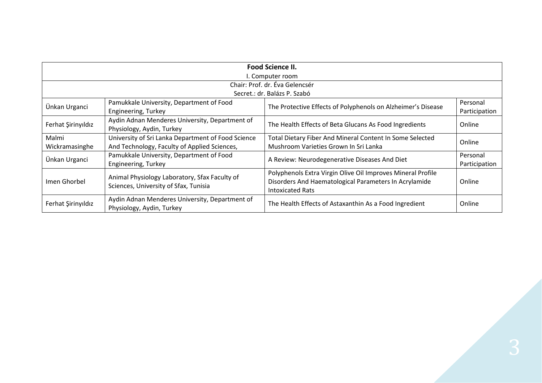| <b>Food Science II.</b> |                                                                                                    |                                                                                                                                                 |                           |  |  |
|-------------------------|----------------------------------------------------------------------------------------------------|-------------------------------------------------------------------------------------------------------------------------------------------------|---------------------------|--|--|
| I. Computer room        |                                                                                                    |                                                                                                                                                 |                           |  |  |
|                         | Chair: Prof. dr. Éva Gelencsér                                                                     |                                                                                                                                                 |                           |  |  |
|                         |                                                                                                    | Secret.: dr. Balázs P. Szabó                                                                                                                    |                           |  |  |
| Ünkan Urganci           | Pamukkale University, Department of Food<br>Engineering, Turkey                                    | The Protective Effects of Polyphenols on Alzheimer's Disease                                                                                    | Personal<br>Participation |  |  |
| Ferhat Şirinyıldız      | Aydin Adnan Menderes University, Department of<br>Physiology, Aydin, Turkey                        | The Health Effects of Beta Glucans As Food Ingredients                                                                                          | Online                    |  |  |
| Malmi<br>Wickramasinghe | University of Sri Lanka Department of Food Science<br>And Technology, Faculty of Applied Sciences, | Total Dietary Fiber And Mineral Content In Some Selected<br>Mushroom Varieties Grown In Sri Lanka                                               | Online                    |  |  |
| Ünkan Urganci           | Pamukkale University, Department of Food<br>Engineering, Turkey                                    | A Review: Neurodegenerative Diseases And Diet                                                                                                   | Personal<br>Participation |  |  |
| Imen Ghorbel            | Animal Physiology Laboratory, Sfax Faculty of<br>Sciences, University of Sfax, Tunisia             | Polyphenols Extra Virgin Olive Oil Improves Mineral Profile<br>Disorders And Haematological Parameters In Acrylamide<br><b>Intoxicated Rats</b> | Online                    |  |  |
| Ferhat Şirinyıldız      | Aydin Adnan Menderes University, Department of<br>Physiology, Aydin, Turkey                        | The Health Effects of Astaxanthin As a Food Ingredient                                                                                          | Online                    |  |  |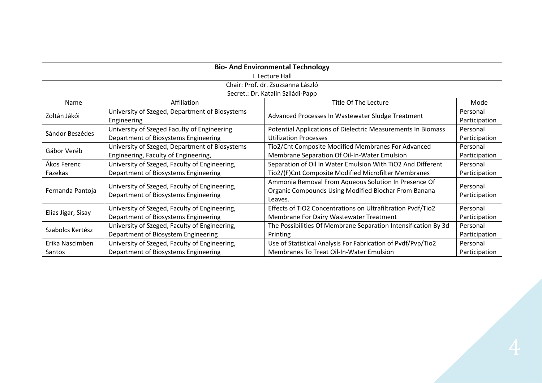| <b>Bio- And Environmental Technology</b> |                                                                                        |                                                                                                                         |                           |  |
|------------------------------------------|----------------------------------------------------------------------------------------|-------------------------------------------------------------------------------------------------------------------------|---------------------------|--|
|                                          | I. Lecture Hall                                                                        |                                                                                                                         |                           |  |
|                                          |                                                                                        | Chair: Prof. dr. Zsuzsanna László                                                                                       |                           |  |
|                                          |                                                                                        | Secret.: Dr. Katalin Sziládi-Papp                                                                                       |                           |  |
| Name                                     | Affiliation                                                                            | Title Of The Lecture                                                                                                    | Mode                      |  |
| Zoltán Jákói                             | University of Szeged, Department of Biosystems<br>Engineering                          | Advanced Processes In Wastewater Sludge Treatment                                                                       | Personal<br>Participation |  |
| Sándor Beszédes                          | University of Szeged Faculty of Engineering<br>Department of Biosystems Engineering    | Potential Applications of Dielectric Measurements In Biomass<br><b>Utilization Processes</b>                            | Personal<br>Participation |  |
| Gábor Veréb                              | University of Szeged, Department of Biosystems<br>Engineering, Faculty of Engineering, | Tio2/Cnt Composite Modified Membranes For Advanced<br>Membrane Separation Of Oil-In-Water Emulsion                      | Personal<br>Participation |  |
| Ákos Ferenc<br>Fazekas                   | University of Szeged, Faculty of Engineering,<br>Department of Biosystems Engineering  | Separation of Oil In Water Emulsion With TiO2 And Different<br>Tio2/(F)Cnt Composite Modified Microfilter Membranes     | Personal<br>Participation |  |
| Fernanda Pantoja                         | University of Szeged, Faculty of Engineering,<br>Department of Biosystems Engineering  | Ammonia Removal From Aqueous Solution In Presence Of<br>Organic Compounds Using Modified Biochar From Banana<br>Leaves. | Personal<br>Participation |  |
| Elias Jigar, Sisay                       | University of Szeged, Faculty of Engineering,<br>Department of Biosystems Engineering  | Effects of TiO2 Concentrations on Ultrafiltration Pvdf/Tio2<br>Membrane For Dairy Wastewater Treatment                  | Personal<br>Participation |  |
| Szabolcs Kertész                         | University of Szeged, Faculty of Engineering,<br>Department of Biosystem Engineering   | The Possibilities Of Membrane Separation Intensification By 3d<br>Printing                                              | Personal<br>Participation |  |
| Erika Nascimben<br>Santos                | University of Szeged, Faculty of Engineering,<br>Department of Biosystems Engineering  | Use of Statistical Analysis For Fabrication of Pvdf/Pvp/Tio2<br>Membranes To Treat Oil-In-Water Emulsion                | Personal<br>Participation |  |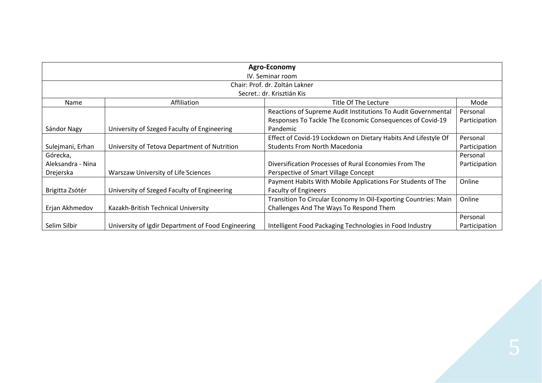| Agro-Economy      |                                                    |                                                                 |               |  |
|-------------------|----------------------------------------------------|-----------------------------------------------------------------|---------------|--|
|                   | IV. Seminar room                                   |                                                                 |               |  |
|                   |                                                    | Chair: Prof. dr. Zoltán Lakner                                  |               |  |
|                   |                                                    | Secret.: dr. Krisztián Kis                                      |               |  |
| Name              | Affiliation                                        | Title Of The Lecture                                            | Mode          |  |
|                   |                                                    | Reactions of Supreme Audit Institutions To Audit Governmental   | Personal      |  |
|                   |                                                    | Responses To Tackle The Economic Consequences of Covid-19       | Participation |  |
| Sándor Nagy       | University of Szeged Faculty of Engineering        | Pandemic                                                        |               |  |
|                   |                                                    | Effect of Covid-19 Lockdown on Dietary Habits And Lifestyle Of  | Personal      |  |
| Sulejmani, Erhan  | University of Tetova Department of Nutrition       | <b>Students From North Macedonia</b>                            | Participation |  |
| Górecka,          |                                                    |                                                                 | Personal      |  |
| Aleksandra - Nina |                                                    | Diversification Processes of Rural Economies From The           | Participation |  |
| Drejerska         | Warszaw University of Life Sciences                | Perspective of Smart Village Concept                            |               |  |
|                   |                                                    | Payment Habits With Mobile Applications For Students of The     | Online        |  |
| Brigitta Zsótér   | University of Szeged Faculty of Engineering        | <b>Faculty of Engineers</b>                                     |               |  |
|                   |                                                    | Transition To Circular Economy In Oil-Exporting Countries: Main | Online        |  |
| Erjan Akhmedov    | Kazakh-British Technical University                | Challenges And The Ways To Respond Them                         |               |  |
|                   |                                                    |                                                                 | Personal      |  |
| Selim Silbir      | University of Igdir Department of Food Engineering | Intelligent Food Packaging Technologies in Food Industry        | Participation |  |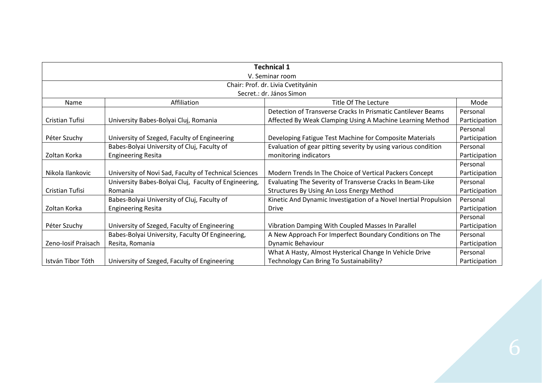| <b>Technical 1</b>  |                                                       |                                                                  |               |  |
|---------------------|-------------------------------------------------------|------------------------------------------------------------------|---------------|--|
|                     | V. Seminar room                                       |                                                                  |               |  |
|                     |                                                       | Chair: Prof. dr. Livia Cvetityánin                               |               |  |
|                     |                                                       | Secret.: dr. János Simon                                         |               |  |
| <b>Name</b>         | Affiliation                                           | Title Of The Lecture                                             | Mode          |  |
|                     |                                                       | Detection of Transverse Cracks In Prismatic Cantilever Beams     | Personal      |  |
| Cristian Tufisi     | University Babes-Bolyai Cluj, Romania                 | Affected By Weak Clamping Using A Machine Learning Method        | Participation |  |
|                     |                                                       |                                                                  | Personal      |  |
| Péter Szuchy        | University of Szeged, Faculty of Engineering          | Developing Fatigue Test Machine for Composite Materials          | Participation |  |
|                     | Babes-Bolyai University of Cluj, Faculty of           | Evaluation of gear pitting severity by using various condition   | Personal      |  |
| Zoltan Korka        | <b>Engineering Resita</b>                             | monitoring indicators                                            | Participation |  |
|                     |                                                       |                                                                  | Personal      |  |
| Nikola Ilankovic    | University of Novi Sad, Faculty of Technical Sciences | Modern Trends In The Choice of Vertical Packers Concept          | Participation |  |
|                     | University Babes-Bolyai Cluj, Faculty of Engineering, | Evaluating The Severity of Transverse Cracks In Beam-Like        | Personal      |  |
| Cristian Tufisi     | Romania                                               | Structures By Using An Loss Energy Method                        | Participation |  |
|                     | Babes-Bolyai University of Cluj, Faculty of           | Kinetic And Dynamic Investigation of a Novel Inertial Propulsion | Personal      |  |
| Zoltan Korka        | <b>Engineering Resita</b>                             | Drive                                                            | Participation |  |
|                     |                                                       |                                                                  | Personal      |  |
| Péter Szuchy        | University of Szeged, Faculty of Engineering          | Vibration Damping With Coupled Masses In Parallel                | Participation |  |
|                     | Babes-Bolyai University, Faculty Of Engineering,      | A New Approach For Imperfect Boundary Conditions on The          | Personal      |  |
| Zeno-Iosif Praisach | Resita, Romania                                       | Dynamic Behaviour                                                | Participation |  |
|                     |                                                       | What A Hasty, Almost Hysterical Change In Vehicle Drive          | Personal      |  |
| István Tibor Tóth   | University of Szeged, Faculty of Engineering          | Technology Can Bring To Sustainability?                          | Participation |  |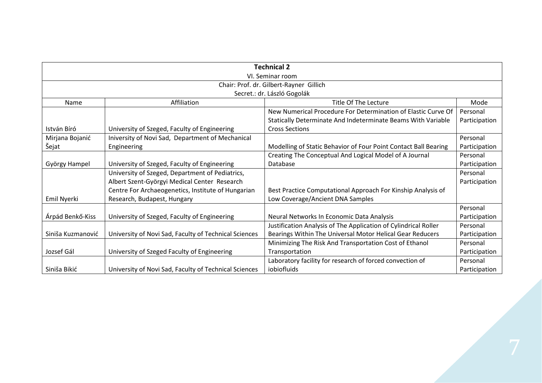| <b>Technical 2</b> |                                                       |                                                                 |               |  |  |
|--------------------|-------------------------------------------------------|-----------------------------------------------------------------|---------------|--|--|
|                    | VI. Seminar room                                      |                                                                 |               |  |  |
|                    | Chair: Prof. dr. Gilbert-Rayner Gillich               |                                                                 |               |  |  |
|                    |                                                       | Secret.: dr. László Gogolák                                     |               |  |  |
| Name               | Affiliation                                           | Title Of The Lecture                                            | Mode          |  |  |
|                    |                                                       | New Numerical Procedure For Determination of Elastic Curve Of   | Personal      |  |  |
|                    |                                                       | Statically Determinate And Indeterminate Beams With Variable    | Participation |  |  |
| István Bíró        | University of Szeged, Faculty of Engineering          | <b>Cross Sections</b>                                           |               |  |  |
| Mirjana Bojanić    | Iniversity of Novi Sad, Department of Mechanical      |                                                                 | Personal      |  |  |
| Šejat              | Engineering                                           | Modelling of Static Behavior of Four Point Contact Ball Bearing | Participation |  |  |
|                    |                                                       | Creating The Conceptual And Logical Model of A Journal          | Personal      |  |  |
| György Hampel      | University of Szeged, Faculty of Engineering          | Database                                                        | Participation |  |  |
|                    | University of Szeged, Department of Pediatrics,       |                                                                 | Personal      |  |  |
|                    | Albert Szent-Györgyi Medical Center Research          |                                                                 | Participation |  |  |
|                    | Centre For Archaeogenetics, Institute of Hungarian    | Best Practice Computational Approach For Kinship Analysis of    |               |  |  |
| Emil Nyerki        | Research, Budapest, Hungary                           | Low Coverage/Ancient DNA Samples                                |               |  |  |
|                    |                                                       |                                                                 | Personal      |  |  |
| Árpád Benkő-Kiss   | University of Szeged, Faculty of Engineering          | Neural Networks In Economic Data Analysis                       | Participation |  |  |
|                    |                                                       | Justification Analysis of The Application of Cylindrical Roller | Personal      |  |  |
| Siniša Kuzmanović  | University of Novi Sad, Faculty of Technical Sciences | Bearings Within The Universal Motor Helical Gear Reducers       | Participation |  |  |
|                    |                                                       | Minimizing The Risk And Transportation Cost of Ethanol          | Personal      |  |  |
| Jozsef Gál         | University of Szeged Faculty of Engineering           | Transportation                                                  | Participation |  |  |
|                    |                                                       | Laboratory facility for research of forced convection of        | Personal      |  |  |
| Siniša Bikić       | University of Novi Sad, Faculty of Technical Sciences | iobiofluids                                                     | Participation |  |  |